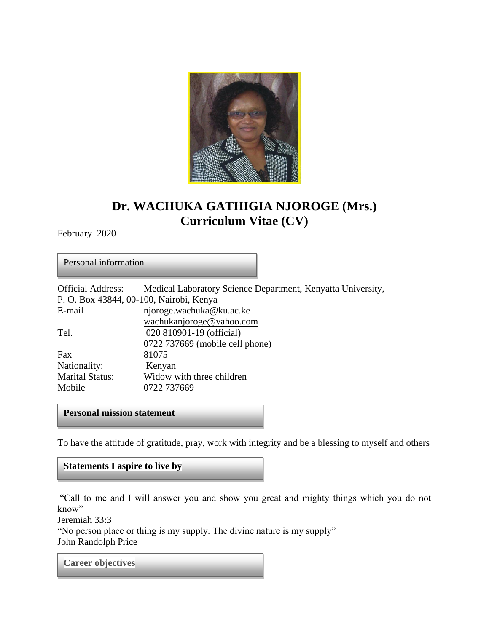

# **Dr. WACHUKA GATHIGIA NJOROGE (Mrs.) Curriculum Vitae (CV)**

February 2020

Personal information

| <b>Official Address:</b>                | Medical Laboratory Science Department, Kenyatta University, |
|-----------------------------------------|-------------------------------------------------------------|
| P. O. Box 43844, 00-100, Nairobi, Kenya |                                                             |
| E-mail                                  | njoroge.wachuka@ku.ac.ke                                    |
|                                         | wachukanjoroge@yahoo.com                                    |
| Tel.                                    | 020 810901-19 (official)                                    |
|                                         | 0722 737669 (mobile cell phone)                             |
| Fax                                     | 81075                                                       |
| Nationality:                            | Kenyan                                                      |
| <b>Marital Status:</b>                  | Widow with three children                                   |
| Mobile                                  | 0722 737669                                                 |
|                                         |                                                             |

## **Personal mission statement**

To have the attitude of gratitude, pray, work with integrity and be a blessing to myself and others

## **Statements I aspire to live by**

"Call to me and I will answer you and show you great and mighty things which you do not know"

Jeremiah 33:3

"No person place or thing is my supply. The divine nature is my supply" John Randolph Price

**Career objectives**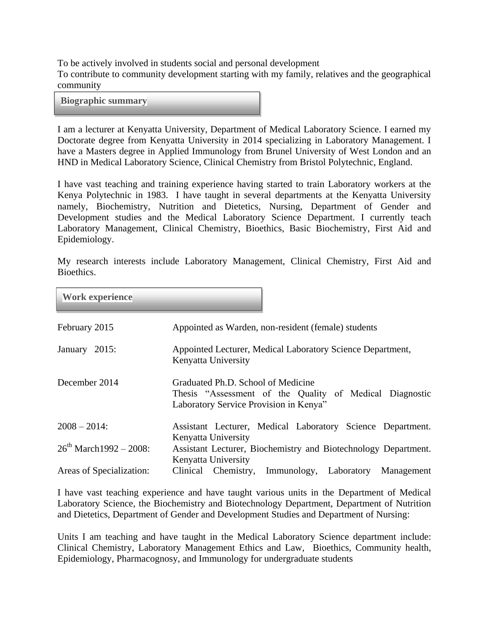To be actively involved in students social and personal development

To contribute to community development starting with my family, relatives and the geographical community

**Biographic summary** 

I am a lecturer at Kenyatta University, Department of Medical Laboratory Science. I earned my Doctorate degree from Kenyatta University in 2014 specializing in Laboratory Management. I have a Masters degree in Applied Immunology from Brunel University of West London and an HND in Medical Laboratory Science, Clinical Chemistry from Bristol Polytechnic, England.

I have vast teaching and training experience having started to train Laboratory workers at the Kenya Polytechnic in 1983. I have taught in several departments at the Kenyatta University namely, Biochemistry, Nutrition and Dietetics, Nursing, Department of Gender and Development studies and the Medical Laboratory Science Department. I currently teach Laboratory Management, Clinical Chemistry, Bioethics, Basic Biochemistry, First Aid and Epidemiology.

| <b>Work experience</b>       |                                                                                                                                         |
|------------------------------|-----------------------------------------------------------------------------------------------------------------------------------------|
| February 2015                | Appointed as Warden, non-resident (female) students                                                                                     |
| January 2015:                | Appointed Lecturer, Medical Laboratory Science Department,<br>Kenyatta University                                                       |
| December 2014                | Graduated Ph.D. School of Medicine<br>Thesis "Assessment of the Quality of Medical Diagnostic<br>Laboratory Service Provision in Kenya" |
| $2008 - 2014$ :              | Assistant Lecturer, Medical Laboratory Science Department.                                                                              |
| $26^{th}$ March 1992 – 2008: | Kenyatta University<br>Assistant Lecturer, Biochemistry and Biotechnology Department.<br>Kenyatta University                            |
| Areas of Specialization:     | Clinical Chemistry, Immunology, Laboratory<br>Management                                                                                |

My research interests include Laboratory Management, Clinical Chemistry, First Aid and Bioethics.

I have vast teaching experience and have taught various units in the Department of Medical Laboratory Science, the Biochemistry and Biotechnology Department, Department of Nutrition and Dietetics, Department of Gender and Development Studies and Department of Nursing:

Units I am teaching and have taught in the Medical Laboratory Science department include: Clinical Chemistry, Laboratory Management Ethics and Law, Bioethics, Community health, Epidemiology, Pharmacognosy, and Immunology for undergraduate students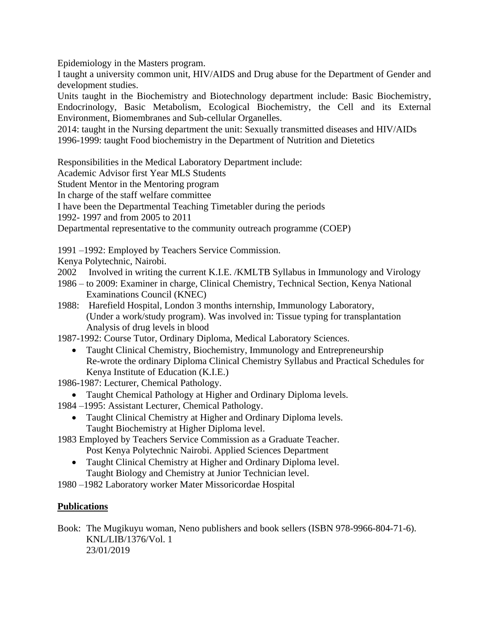Epidemiology in the Masters program.

I taught a university common unit, HIV/AIDS and Drug abuse for the Department of Gender and development studies.

Units taught in the Biochemistry and Biotechnology department include: Basic Biochemistry, Endocrinology, Basic Metabolism, Ecological Biochemistry, the Cell and its External Environment, Biomembranes and Sub-cellular Organelles.

2014: taught in the Nursing department the unit: Sexually transmitted diseases and HIV/AIDs 1996-1999: taught Food biochemistry in the Department of Nutrition and Dietetics

Responsibilities in the Medical Laboratory Department include:

Academic Advisor first Year MLS Students

Student Mentor in the Mentoring program

In charge of the staff welfare committee

I have been the Departmental Teaching Timetabler during the periods

1992- 1997 and from 2005 to 2011

Departmental representative to the community outreach programme (COEP)

1991 –1992: Employed by Teachers Service Commission.

- Kenya Polytechnic, Nairobi.
- 2002 Involved in writing the current K.I.E. /KMLTB Syllabus in Immunology and Virology
- 1986 to 2009: Examiner in charge, Clinical Chemistry, Technical Section, Kenya National Examinations Council (KNEC)
- 1988: Harefield Hospital, London 3 months internship, Immunology Laboratory, (Under a work/study program). Was involved in: Tissue typing for transplantation Analysis of drug levels in blood

1987-1992: Course Tutor, Ordinary Diploma, Medical Laboratory Sciences.

• Taught Clinical Chemistry, Biochemistry, Immunology and Entrepreneurship Re-wrote the ordinary Diploma Clinical Chemistry Syllabus and Practical Schedules for Kenya Institute of Education (K.I.E.)

1986-1987: Lecturer, Chemical Pathology.

Taught Chemical Pathology at Higher and Ordinary Diploma levels.

- 1984 –1995: Assistant Lecturer, Chemical Pathology.
	- Taught Clinical Chemistry at Higher and Ordinary Diploma levels. Taught Biochemistry at Higher Diploma level.

1983 Employed by Teachers Service Commission as a Graduate Teacher.

- Post Kenya Polytechnic Nairobi. Applied Sciences Department
- Taught Clinical Chemistry at Higher and Ordinary Diploma level. Taught Biology and Chemistry at Junior Technician level.
- 1980 –1982 Laboratory worker Mater Missoricordae Hospital

## **Publications**

Book: The Mugikuyu woman, Neno publishers and book sellers (ISBN 978-9966-804-71-6). KNL/LIB/1376/Vol. 1 23/01/2019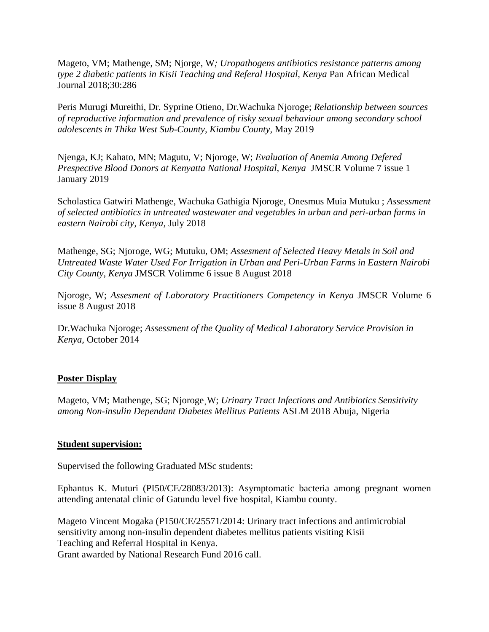Mageto, VM; Mathenge, SM; Njorge, W*; Uropathogens antibiotics resistance patterns among type 2 diabetic patients in Kisii Teaching and Referal Hospital, Kenya* Pan African Medical Journal 2018;30:286

Peris Murugi Mureithi, Dr. Syprine Otieno, Dr.Wachuka Njoroge; *Relationship between sources of reproductive information and prevalence of risky sexual behaviour among secondary school adolescents in Thika West Sub-County, Kiambu County,* May 2019

Njenga, KJ; Kahato, MN; Magutu, V; Njoroge, W; *Evaluation of Anemia Among Defered Prespective Blood Donors at Kenyatta National Hospital, Kenya* JMSCR Volume 7 issue 1 January 2019

Scholastica Gatwiri Mathenge, Wachuka Gathigia Njoroge, Onesmus Muia Mutuku ; *Assessment of selected antibiotics in untreated wastewater and vegetables in urban and peri-urban farms in eastern Nairobi city, Kenya,* July 2018

Mathenge, SG; Njoroge, WG; Mutuku, OM; *Assesment of Selected Heavy Metals in Soil and Untreated Waste Water Used For Irrigation in Urban and Peri-Urban Farms in Eastern Nairobi City County, Kenya* JMSCR Volimme 6 issue 8 August 2018

Njoroge, W; *Assesment of Laboratory Practitioners Competency in Kenya* JMSCR Volume 6 issue 8 August 2018

Dr.Wachuka Njoroge; *Assessment of the Quality of Medical Laboratory Service Provision in Kenya,* October 2014

#### **Poster Display**

Mageto, VM; Mathenge, SG; Njoroge¸W; *Urinary Tract Infections and Antibiotics Sensitivity among Non-insulin Dependant Diabetes Mellitus Patients* ASLM 2018 Abuja, Nigeria

#### **Student supervision:**

Supervised the following Graduated MSc students:

Ephantus K. Muturi (PI50/CE/28083/2013): Asymptomatic bacteria among pregnant women attending antenatal clinic of Gatundu level five hospital, Kiambu county.

Mageto Vincent Mogaka (P150/CE/25571/2014: Urinary tract infections and antimicrobial sensitivity among non-insulin dependent diabetes mellitus patients visiting Kisii Teaching and Referral Hospital in Kenya. Grant awarded by National Research Fund 2016 call.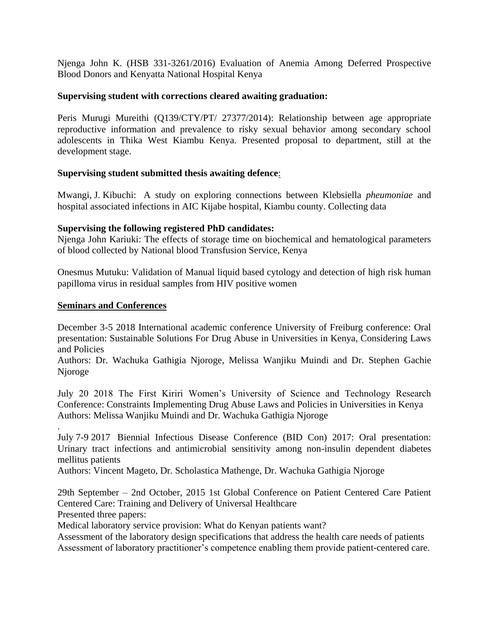Njenga John K. (HSB 331-3261/2016) Evaluation of Anemia Among Deferred Prospective Blood Donors and Kenyatta National Hospital Kenya

#### **Supervising student with corrections cleared awaiting graduation:**

Peris Murugi Mureithi (Q139/CTY/PT/ 27377/2014): Relationship between age appropriate reproductive information and prevalence to risky sexual behavior among secondary school adolescents in Thika West Kiambu Kenya. Presented proposal to department, still at the development stage.

## **Supervising student submitted thesis awaiting defence**:

Mwangi, J. Kibuchi: A study on exploring connections between Klebsiella *pheumoniae* and hospital associated infections in AIC Kijabe hospital, Kiambu county. Collecting data

## **Supervising the following registered PhD candidates:**

Njenga John Kariuki: The effects of storage time on biochemical and hematological parameters of blood collected by National blood Transfusion Service, Kenya

Onesmus Mutuku: Validation of Manual liquid based cytology and detection of high risk human papilloma virus in residual samples from HIV positive women

## **Seminars and Conferences**

.

December 3-5 2018 International academic conference University of Freiburg conference: Oral presentation: Sustainable Solutions For Drug Abuse in Universities in Kenya, Considering Laws and Policies

Authors: Dr. Wachuka Gathigia Njoroge, Melissa Wanjiku Muindi and Dr. Stephen Gachie Njoroge

July 20 2018 The First Kiriri Women's University of Science and Technology Research Conference: Constraints Implementing Drug Abuse Laws and Policies in Universities in Kenya Authors: Melissa Wanjiku Muindi and Dr. Wachuka Gathigia Njoroge

July 7-9 2017 Biennial Infectious Disease Conference (BID Con) 2017: Oral presentation: Urinary tract infections and antimicrobial sensitivity among non-insulin dependent diabetes mellitus patients

Authors: Vincent Mageto, Dr. Scholastica Mathenge, Dr. Wachuka Gathigia Njoroge

29th September – 2nd October, 2015 1st Global Conference on Patient Centered Care Patient Centered Care: Training and Delivery of Universal Healthcare Presented three papers:

Medical laboratory service provision: What do Kenyan patients want?

Assessment of the laboratory design specifications that address the health care needs of patients Assessment of laboratory practitioner's competence enabling them provide patient-centered care.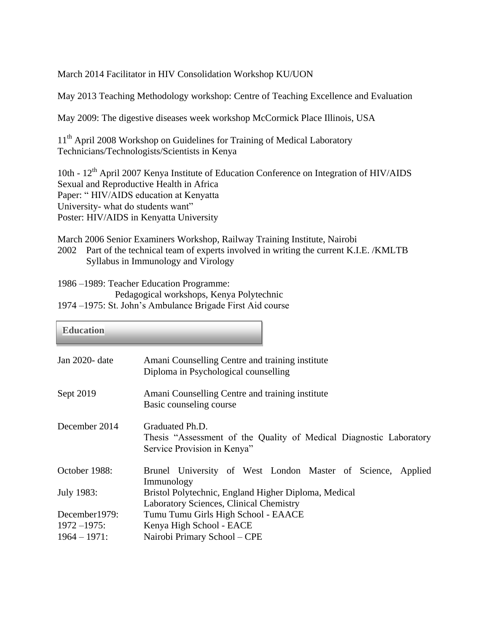March 2014 Facilitator in HIV Consolidation Workshop KU/UON

May 2013 Teaching Methodology workshop: Centre of Teaching Excellence and Evaluation

May 2009: The digestive diseases week workshop McCormick Place Illinois, USA

11<sup>th</sup> April 2008 Workshop on Guidelines for Training of Medical Laboratory Technicians/Technologists/Scientists in Kenya

10th - 12<sup>th</sup> April 2007 Kenya Institute of Education Conference on Integration of HIV/AIDS Sexual and Reproductive Health in Africa Paper: " HIV/AIDS education at Kenyatta University- what do students want" Poster: HIV/AIDS in Kenyatta University

March 2006 Senior Examiners Workshop, Railway Training Institute, Nairobi 2002 Part of the technical team of experts involved in writing the current K.I.E. /KMLTB Syllabus in Immunology and Virology

1986 –1989: Teacher Education Programme: Pedagogical workshops, Kenya Polytechnic 1974 –1975: St. John's Ambulance Brigade First Aid course

**A Education**

| Jan $2020$ - date | Amani Counselling Centre and training institute<br>Diploma in Psychological counselling                              |
|-------------------|----------------------------------------------------------------------------------------------------------------------|
| Sept 2019         | Amani Counselling Centre and training institute<br>Basic counseling course                                           |
| December 2014     | Graduated Ph.D.<br>Thesis "Assessment of the Quality of Medical Diagnostic Laboratory<br>Service Provision in Kenya" |
| October 1988:     | Brunel University of West London Master of Science, Applied<br>Immunology                                            |
| July 1983:        | Bristol Polytechnic, England Higher Diploma, Medical                                                                 |
|                   | Laboratory Sciences, Clinical Chemistry                                                                              |
| December 1979:    | Tumu Tumu Girls High School - EAACE                                                                                  |
| $1972 - 1975$ :   | Kenya High School - EACE                                                                                             |
| $1964 - 1971$ :   | Nairobi Primary School - CPE                                                                                         |